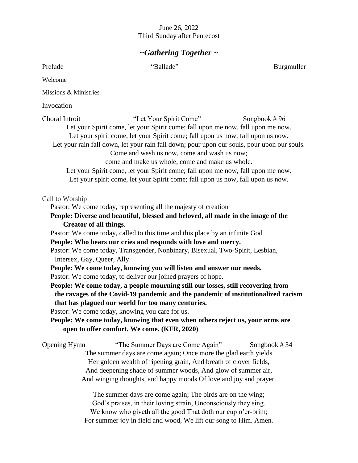#### June 26, 2022 Third Sunday after Pentecost

### *~Gathering Together ~*

Prelude "Ballade" Burgmuller Welcome Missions & Ministries Invocation Choral Introit "Let Your Spirit Come" Songbook # 96 Let your Spirit come, let your Spirit come; fall upon me now, fall upon me now. Let your spirit come, let your Spirit come; fall upon us now, fall upon us now. Let your rain fall down, let your rain fall down; pour upon our souls, pour upon our souls. Come and wash us now, come and wash us now; come and make us whole, come and make us whole. Let your Spirit come, let your Spirit come; fall upon me now, fall upon me now. Let your spirit come, let your Spirit come; fall upon us now, fall upon us now. Call to Worship Pastor: We come today, representing all the majesty of creation **People: Diverse and beautiful, blessed and beloved, all made in the image of the Creator of all things**. Pastor: We come today, called to this time and this place by an infinite God **People: Who hears our cries and responds with love and mercy.** Pastor: We come today, Transgender, Nonbinary, Bisexual, Two-Spirit, Lesbian, Intersex, Gay, Queer, Ally **People: We come today, knowing you will listen and answer our needs.** Pastor: We come today, to deliver our joined prayers of hope. **People: We come today, a people mourning still our losses, still recovering from the ravages of the Covid-19 pandemic and the pandemic of institutionalized racism that has plagued our world for too many centuries.** Pastor: We come today, knowing you care for us. **People: We come today, knowing that even when others reject us, your arms are open to offer comfort. We come. (KFR, 2020)** Opening Hymn"The Summer Days are Come Again" Songbook # 34 The summer days are come again; Once more the glad earth yields Her golden wealth of ripening grain, And breath of clover fields, And deepening shade of summer woods, And glow of summer air, And winging thoughts, and happy moods Of love and joy and prayer. The summer days are come again; The birds are on the wing;

God's praises, in their loving strain, Unconsciously they sing. We know who giveth all the good That doth our cup o'er-brim; For summer joy in field and wood, We lift our song to Him. Amen.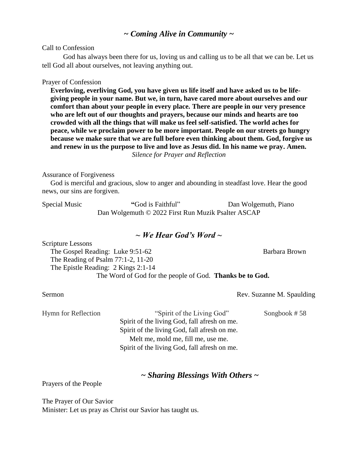### *~ Coming Alive in Community ~*

Call to Confession

God has always been there for us, loving us and calling us to be all that we can be. Let us tell God all about ourselves, not leaving anything out.

#### Prayer of Confession

**Everloving, everliving God, you have given us life itself and have asked us to be lifegiving people in your name. But we, in turn, have cared more about ourselves and our comfort than about your people in every place. There are people in our very presence who are left out of our thoughts and prayers, because our minds and hearts are too crowded with all the things that will make us feel self-satisfied. The world aches for peace, while we proclaim power to be more important. People on our streets go hungry because we make sure that we are full before even thinking about them. God, forgive us and renew in us the purpose to live and love as Jesus did. In his name we pray. Amen.** *Silence for Prayer and Reflection*

#### Assurance of Forgiveness

God is merciful and gracious, slow to anger and abounding in steadfast love. Hear the good news, our sins are forgiven.

Special Music **"**God is Faithful" Dan Wolgemuth, Piano Dan Wolgemuth © 2022 First Run Muzik Psalter ASCAP

### *~ We Hear God's Word ~*

Scripture Lessons The Gospel Reading: Luke 9:51-62 Barbara Brown The Reading of Psalm 77:1-2, 11-20 The Epistle Reading: 2 Kings 2:1-14 The Word of God for the people of God. **Thanks be to God.**

Sermon **Rev.** Suzanne M. Spaulding

Hymn for Reflection "Spirit of the Living God" Songbook #58 Spirit of the living God, fall afresh on me. Spirit of the living God, fall afresh on me. Melt me, mold me, fill me, use me. Spirit of the living God, fall afresh on me.

*~ Sharing Blessings With Others ~*

Prayers of the People

The Prayer of Our Savior Minister: Let us pray as Christ our Savior has taught us.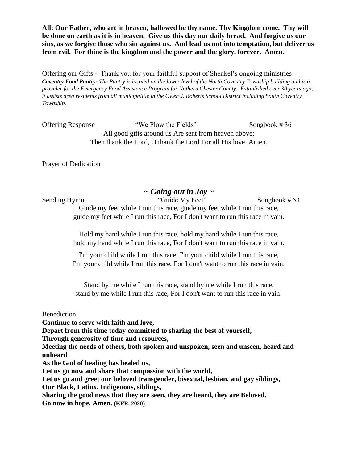**All: Our Father, who art in heaven, hallowed be thy name. Thy Kingdom come. Thy will be done on earth as it is in heaven. Give us this day our daily bread. And forgive us our sins, as we forgive those who sin against us. And lead us not into temptation, but deliver us from evil. For thine is the kingdom and the power and the glory, forever. Amen.**

Offering our Gifts - Thank you for your faithful support of Shenkel's ongoing ministries *Coventry Food Pantry- The Pantry is located on the lower level of the North Coventry Township building and is a provider for the Emergency Food Assistance Program for Nothern Chester County. Established over 30 years ago, it assists area residents from all municipalitie in the Owen J. Roberts School District including South Coventry Township.*

Offering Response "We Plow the Fields" Songbook # 36 All good gifts around us Are sent from heaven above; Then thank the Lord, O thank the Lord For all His love. Amen.

Prayer of Dedication

### *~ Going out in Joy ~*

Sending Hymn "Guide My Feet" Songbook # 53

Guide my feet while I run this race, guide my feet while I run this race, guide my feet while I run this race, For I don't want to run this race in vain.

Hold my hand while I run this race, hold my hand while I run this race, hold my hand while I run this race, For I don't want to run this race in vain.

I'm your child while I run this race, I'm your child while I run this race, I'm your child while I run this race, For I don't want to run this race in vain.

Stand by me while I run this race, stand by me while I run this race, stand by me while I run this race, For I don't want to run this race in vain!

Benediction

**Continue to serve with faith and love,**

**Depart from this time today committed to sharing the best of yourself,**

**Through generosity of time and resources,**

**Meeting the needs of others, both spoken and unspoken, seen and unseen, heard and unheard**

**As the God of healing has healed us,**

**Let us go now and share that compassion with the world,**

**Let us go and greet our beloved transgender, bisexual, lesbian, and gay siblings,**

**Our Black, Latinx, Indigenous, siblings,**

**Sharing the good news that they are seen, they are heard, they are Beloved. Go now in hope. Amen. (KFR, 2020)**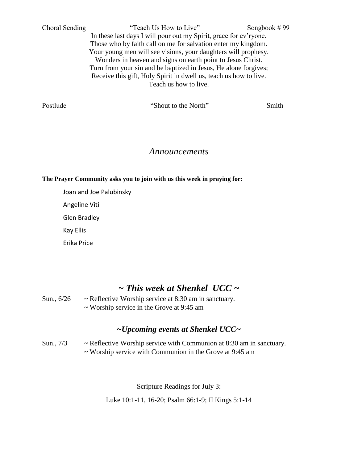Choral Sending "Teach Us How to Live" Songbook # 99 In these last days I will pour out my Spirit, grace for ev'ryone. Those who by faith call on me for salvation enter my kingdom. Your young men will see visions, your daughters will prophesy. Wonders in heaven and signs on earth point to Jesus Christ. Turn from your sin and be baptized in Jesus, He alone forgives; Receive this gift, Holy Spirit in dwell us, teach us how to live. Teach us how to live.

Postlude "Shout to the North" Smith

#### *Announcements*

**The Prayer Community asks you to join with us this week in praying for:**

Joan and Joe Palubinsky

Angeline Viti

Glen Bradley

Kay Ellis

Erika Price

# *~ This week at Shenkel UCC ~*

Sun., 6/26 ~ Reflective Worship service at 8:30 am in sanctuary. ~ Worship service in the Grove at 9:45 am

## *~Upcoming events at Shenkel UCC~*

Sun., 7/3 ~ Reflective Worship service with Communion at 8:30 am in sanctuary. ~ Worship service with Communion in the Grove at 9:45 am

Scripture Readings for July 3:

Luke 10:1-11, 16-20; Psalm 66:1-9; II Kings 5:1-14